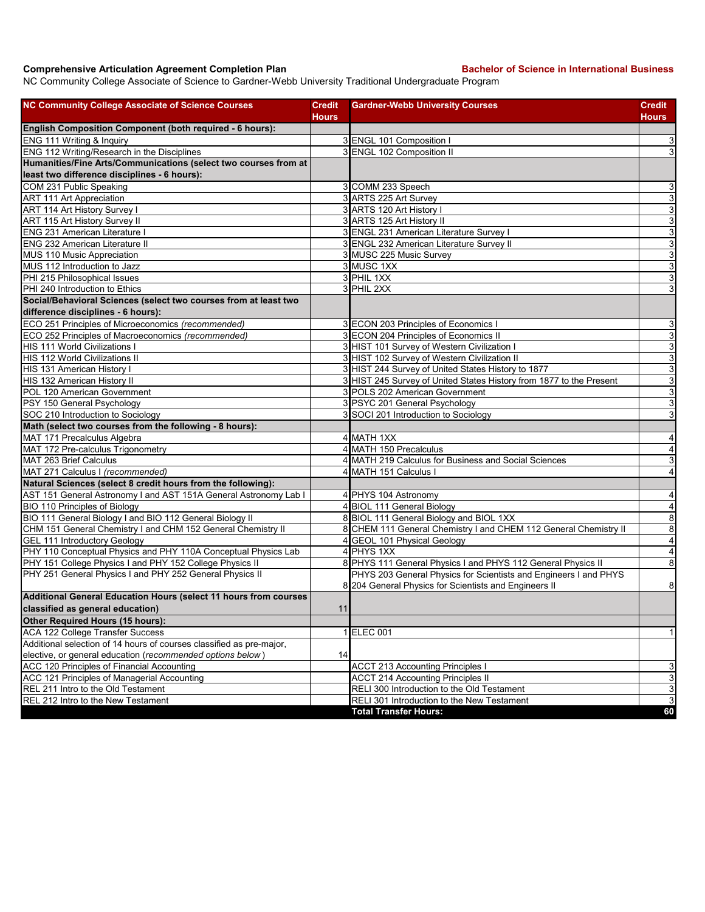## **Comprehensive Articulation Agreement Completion Plan Bachelor of Science in International Business**

NC Community College Associate of Science to Gardner-Webb University Traditional Undergraduate Program

| <b>NC Community College Associate of Science Courses</b>             | <b>Credit</b> | <b>Gardner-Webb University Courses</b>                                                                                    | <b>Credit</b>             |
|----------------------------------------------------------------------|---------------|---------------------------------------------------------------------------------------------------------------------------|---------------------------|
|                                                                      | Hours         |                                                                                                                           | Hours                     |
| English Composition Component (both required - 6 hours):             |               |                                                                                                                           |                           |
| ENG 111 Writing & Inquiry                                            |               | 3 ENGL 101 Composition I                                                                                                  | 3                         |
| ENG 112 Writing/Research in the Disciplines                          |               | 3 ENGL 102 Composition II                                                                                                 | 3                         |
| Humanities/Fine Arts/Communications (select two courses from at      |               |                                                                                                                           |                           |
| least two difference disciplines - 6 hours):                         |               |                                                                                                                           |                           |
| COM 231 Public Speaking                                              |               | 3 COMM 233 Speech                                                                                                         | $\mathsf 3$               |
| <b>ART 111 Art Appreciation</b>                                      |               | 3 ARTS 225 Art Survey                                                                                                     | دن                        |
| ART 114 Art History Survey I                                         |               | 3 ARTS 120 Art History I                                                                                                  | $\mathsf 3$               |
| ART 115 Art History Survey II                                        |               | 3 ARTS 125 Art History II                                                                                                 | $\overline{3}$            |
| ENG 231 American Literature I                                        |               | 3 ENGL 231 American Literature Survey I                                                                                   | $\mathsf 3$               |
| <b>ENG 232 American Literature II</b>                                |               | 3 ENGL 232 American Literature Survey II                                                                                  | 3                         |
| MUS 110 Music Appreciation                                           |               | 3 MUSC 225 Music Survey                                                                                                   | $\ensuremath{\mathsf{3}}$ |
| MUS 112 Introduction to Jazz                                         |               | 3 MUSC 1XX                                                                                                                | $\ensuremath{\mathsf{3}}$ |
| PHI 215 Philosophical Issues                                         |               | 3 PHIL 1XX                                                                                                                | ω                         |
| PHI 240 Introduction to Ethics                                       |               | 3 PHIL 2XX                                                                                                                | 3                         |
| Social/Behavioral Sciences (select two courses from at least two     |               |                                                                                                                           |                           |
| difference disciplines - 6 hours):                                   |               |                                                                                                                           |                           |
| ECO 251 Principles of Microeconomics (recommended)                   |               | 3 ECON 203 Principles of Economics I                                                                                      | $\mathsf 3$               |
| ECO 252 Principles of Macroeconomics (recommended)                   |               | 3 ECON 204 Principles of Economics II                                                                                     | $\ensuremath{\mathsf{3}}$ |
| HIS 111 World Civilizations I                                        |               | 3 HIST 101 Survey of Western Civilization I                                                                               | $\ensuremath{\mathsf{3}}$ |
| <b>HIS 112 World Civilizations II</b>                                |               | 3 HIST 102 Survey of Western Civilization II                                                                              | دن                        |
| HIS 131 American History I                                           |               | 3 HIST 244 Survey of United States History to 1877                                                                        | $\ensuremath{\mathsf{3}}$ |
| HIS 132 American History II                                          |               | 3 HIST 245 Survey of United States History from 1877 to the Present                                                       | ω                         |
| POL 120 American Government                                          |               | 3 POLS 202 American Government                                                                                            | $\ensuremath{\mathsf{3}}$ |
| PSY 150 General Psychology                                           |               | 3 PSYC 201 General Psychology                                                                                             | 3                         |
| SOC 210 Introduction to Sociology                                    |               | 3 SOCI 201 Introduction to Sociology                                                                                      | 3                         |
| Math (select two courses from the following - 8 hours):              |               |                                                                                                                           |                           |
| MAT 171 Precalculus Algebra                                          |               | 4 MATH 1XX                                                                                                                | $\overline{a}$            |
| MAT 172 Pre-calculus Trigonometry                                    |               | 4 MATH 150 Precalculus                                                                                                    | $\overline{\mathbf{4}}$   |
| MAT 263 Brief Calculus                                               |               | 4 MATH 219 Calculus for Business and Social Sciences                                                                      | ω                         |
| MAT 271 Calculus I (recommended)                                     |               | 4 MATH 151 Calculus I                                                                                                     | $\overline{4}$            |
| Natural Sciences (select 8 credit hours from the following):         |               |                                                                                                                           |                           |
| AST 151 General Astronomy I and AST 151A General Astronomy Lab I     |               | 4 PHYS 104 Astronomy                                                                                                      | $\overline{\mathbf{4}}$   |
| BIO 110 Principles of Biology                                        |               | 4 BIOL 111 General Biology                                                                                                | $\overline{\mathbf{A}}$   |
| BIO 111 General Biology I and BIO 112 General Biology II             |               | 8 BIOL 111 General Biology and BIOL 1XX                                                                                   | $\infty$                  |
| CHM 151 General Chemistry I and CHM 152 General Chemistry II         |               | 8 CHEM 111 General Chemistry I and CHEM 112 General Chemistry II                                                          | $\bf 8$                   |
| <b>GEL 111 Introductory Geology</b>                                  |               | 4 GEOL 101 Physical Geology                                                                                               | $\overline{\mathbf{4}}$   |
| PHY 110 Conceptual Physics and PHY 110A Conceptual Physics Lab       |               | 4 PHYS 1XX                                                                                                                | $\overline{\mathbf{4}}$   |
| PHY 151 College Physics I and PHY 152 College Physics II             |               | 8 PHYS 111 General Physics I and PHYS 112 General Physics II                                                              | $\, 8$                    |
| PHY 251 General Physics I and PHY 252 General Physics II             |               | PHYS 203 General Physics for Scientists and Engineers I and PHYS<br>8 204 General Physics for Scientists and Engineers II | $\bf 8$                   |
| Additional General Education Hours (select 11 hours from courses     |               |                                                                                                                           |                           |
| classified as general education)                                     | 11            |                                                                                                                           |                           |
| <b>Other Required Hours (15 hours):</b>                              |               |                                                                                                                           |                           |
| <b>ACA 122 College Transfer Success</b>                              |               | 1 ELEC 001                                                                                                                | $\vert$                   |
| Additional selection of 14 hours of courses classified as pre-major, |               |                                                                                                                           |                           |
| elective, or general education (recommended options below)           | 14            |                                                                                                                           |                           |
| ACC 120 Principles of Financial Accounting                           |               | <b>ACCT 213 Accounting Principles I</b>                                                                                   | 3                         |
| ACC 121 Principles of Managerial Accounting                          |               | <b>ACCT 214 Accounting Principles II</b>                                                                                  | $\ensuremath{\mathsf{3}}$ |
| REL 211 Intro to the Old Testament                                   |               | RELI 300 Introduction to the Old Testament                                                                                | $\ensuremath{\mathsf{3}}$ |
| REL 212 Intro to the New Testament                                   |               | RELI 301 Introduction to the New Testament                                                                                | $\mathsf 3$               |
|                                                                      |               | <b>Total Transfer Hours:</b>                                                                                              | 60                        |